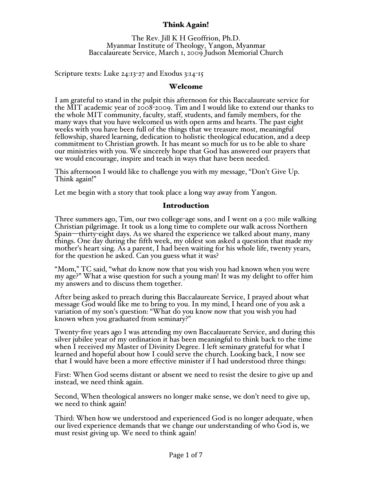# Think Again!

The Rev. Jill K H Geoffrion, Ph.D.<br>Myanmar Institute of Theology, Yangon, Myanmar Baccalaureate Service, March 1, 2009 Judson Memorial Church

Scripture texts: Luke 24:13-27 and Exodus 3:14-15

#### Welcome

I am grateful to stand in the pulpit this afternoon for this Baccalaureate service for the MIT academic year of 2008-2009. Tim and I would like to extend our thanks to the whole MIT community, faculty, staff, students, and family members, for the many ways that you have welcomed us with open arms and hearts. The past eight weeks with you have been full of the things that we treasure most, meaningful commitment to Christian growth. It has meant so much for us to be able to share our ministries with you. We sincerely hope that God has answered our prayers that we would encourage, inspire and teach in ways that have been needed.

This afternoon I would like to challenge you with my message, "Don't Give Up. Think again!"

Let me begin with a story that took place a long way away from Yangon.

#### Introduction

Three summers ago, Tim, our two college-age sons, and I went on a 500 mile walking Christian pilgrimage. It took us a long time to complete our walk across Northern Spain—thirty-eight days. As we shared the experience we talked about many, many things. One day during the fifth week, my oldest son asked a question that made my mother's heart sing. As a parent, I had been waiting for his whole life, twenty years, for the question he asked. Can you guess what it was?

"Mom," TC said, "what do know now that you wish you had known when you were my age?" What a wise question for such a young man! It was my delight to offer him my answers and to discuss them together.

After being asked to preach during this Baccalaureate Service, I prayed about what message God would like me to bring to you. In my mind, I heard one of you ask a variation of my son's question: "What do you know now that you wish you had known when you graduated from seminary?"

Twenty-five years ago I was attending my own Baccalaureate Service, and during this silver jubilee year of my ordination it has been meaningful to think back to the time when I received my Master of Divinity Degree. I left seminary grateful for what I learned and hopeful about how I could serve the church. Looking back, I now see that I would have been a more effective minister if I had understood three things:

First: When God seems distant or absent we need to resist the desire to give up and instead, we need think again.

Second, When theological answers no longer make sense, we don't need to give up, we need to think again!

Third: When how we understood and experienced God is no longer adequate, when our lived experience demands that we change our understanding of who God is, we must resist giving up. We need to think again!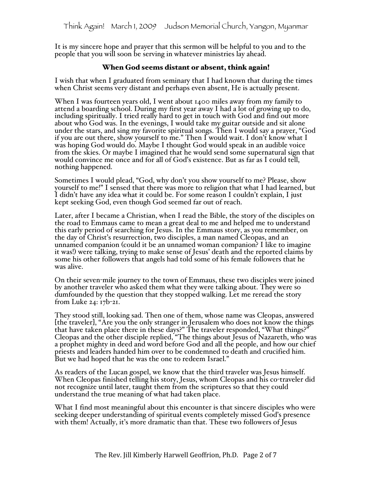It is my sincere hope and prayer that this sermon will be helpful to you and to the people that you will soon be serving in whatever ministries lay ahead.

### When God seems distant or absent, think again!

I wish that when I graduated from seminary that I had known that during the times when Christ seems very distant and perhaps even absent, He is actually present.

When I was fourteen years old, I went about 1400 miles away from my family to attend a boarding school. During my first year away I had a lot of growing up to do, including spiritually. I tried really hard to get in touch with God and find out more about who God was. In the evenings, I would take my guitar outside and sit alone under the stars, and sing my favorite spiritual songs. Then I would say a prayer, "God if you are out there, show yourself to me." Then I would wait. I don't know what I was hoping God would do. Maybe I thought God would speak in an audible voice from the skies. Or maybe I imagined that he would send some supernatural sign that would convince me once and for all of God's existence. But as far as I could tell, nothing happened.

Sometimes I would plead, "God, why don't you show yourself to me? Please, show yourself to me!" I sensed that there was more to religion that what I had learned, but I didn't have any idea what it could be. For some reason I couldn't explain, I just kept seeking God, even though God seemed far out of reach.

Later, after I became a Christian, when I read the Bible, the story of the disciples on the road to Emmaus came to mean a great deal to me and helped me to understand this early period of searching for Jesus. In the Emmaus story, as you remember, on the day of Christ's resurrection, two disciples, a man named Cleopas, and an unnamed companion (could it be an unnamed woman companion? I like to imagine<br>it was!) were talking, trying to make sense of Jesus' death and the reported claims by some his other followers that angels had told some of his female followers that he was alive.

On their seven-mile journey to the town of Emmaus, these two disciples were joined<br>by another traveler who asked them what they were talking about. They were so<br>dumfounded by the question that they stopped walking. Let me from Luke 24: 17b-21.

They stood still, looking sad. Then one of them, whose name was Cleopas, answered [the traveler], "Are you the only stranger in Jerusalem who does not know the things that have taken place there in these days?" The traveler responded, "What things?" Cleopas and the other disciple replied, "The things about Jesus of Nazareth, who was a prophet mighty in deed and word before God and all the people, and how our chief priests and leaders handed him over to be condemned to death and crucified him. But we had hoped that he was the one to redeem Israel."

As readers of the Lucan gospel, we know that the third traveler was Jesus himself. When Cleopas finished telling his story, Jesus, whom Cleopas and his co-traveler did not recognize until later, taught them from the scriptures so that they could understand the true meaning of what had taken place.

What I find most meaningful about this encounter is that sincere disciples who were seeking deeper understanding of spiritual events completely missed God's presence with them! Actually, it's more dramatic than that. These two followers of Jesus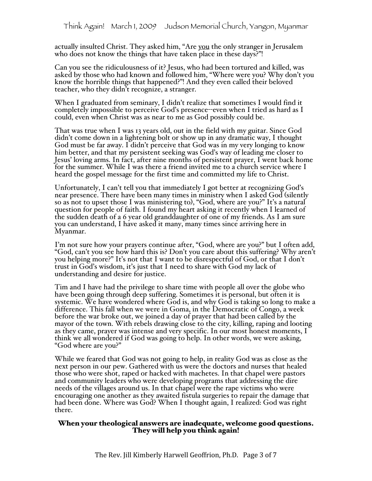actually insulted Christ. They asked him, "Are you the only stranger in Jerusalem who does not know the things that have taken place in these days?"!

Can you see the ridiculousness of it? Jesus, who had been tortured and killed, was know the horrible things that happened?"! And they even called their beloved teacher, who they didn't recognize, a stranger.

When I graduated from seminary, I didn't realize that sometimes I would find it completely impossible to perceive God's presence--even when I tried as hard as I could, even when Christ was as near to me as God possibly could be.

That was true when I was 13 years old, out in the field with my guitar. Since God God must be far away. I didn't perceive that God was in my very longing to know him better, and that my persistent seeking was God's way of leading me closer to Jesus' loving arms. In fact, after nine months of persistent prayer, I went back home for the summer. While I was there a friend invited me to a church service where I heard the gospel message for the first time and committed my life to Christ.

Unfortunately, I can't tell you that immediately I got better at recognizing God's<br>near presence. There have been many times in ministry when I asked God (silently<br>so as not to upset those I was ministering to), "God, wher the sudden death of a 6 year old granddaughter of one of my friends. As I am sure you can understand, I have asked it many, many times since arriving here in Myanmar.

I'm not sure how your prayers continue after, "God, where are you?" but I often add, "God, can't you see how hard this is? Don't you care about this suffering? Why aren't you helping more?" It's not that I want to be disrespectful of God, or that I don't trust in God's wisdom, it's just that I need to share with God my lack of understanding and desire for justice.

Tim and I have had the privilege to share time with people all over the globe who have been going through deep suffering. Sometimes it is personal, but often it is systemic. We have wondered where God is, and why God is taking so long to make a difference. This fall when we were in Goma, in the Democratic of Congo, a week before the war broke out, we joined a day of prayer that had been called by the mayor of the town. With rebels drawing close to the city, killing, raping and looting as they came, prayer was intense and very specific. In our most honest moments, I think we all wondered if God was going to help. In other words, we were asking, "God where are you?"

While we feared that God was not going to help, in reality God was as close as the next person in our pew. Gathered with us were the doctors and nurses that healed those who were shot, raped or hacked with machetes. In that chapel were pastors and community leaders who were developing programs that addressing the dire needs of the villages around us. In that chapel were the rape victims who were encouraging one another as they awaited fistula surgeries to repair the damage that had been done. Where was God? When I thought again, I realized: God was right there.

# When your theological answers are inadequate, welcome good questions. They will help you think again!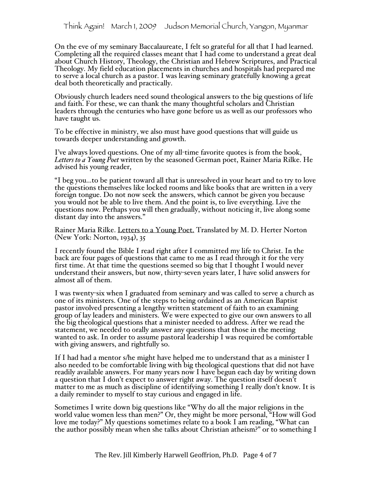Think Again! March 1, 2009 Judson Memorial Church, Yangon, Myanmar

On the eve of my seminary Baccalaureate, I felt so grateful for all that I had learned. Completing all the required classes meant that I had come to understand a great deal about Church History, Theology, the Christian and Hebrew Scriptures, and Practical Theology. My field education placements in churches and hospitals had prepared me to serve a local church as a pastor. I was leaving seminary gratefully knowing a great deal both theoretically and practically.

Obviously church leaders need sound theological answers to the big questions of life and faith. For these, we can thank the many thoughtful scholars and Christian leaders through the centuries who have gone before us as well as our professors who have taught us.

To be effective in ministry, we also must have good questions that will guide us towards deeper understanding and growth.

I've always loved questions. One of my all-time favorite quotes is from the book, *Letters to a Young Poet* written by the seasoned German poet, Rainer Maria Rilke. He advised his young reader,

"I beg you...to be patient toward all that is unresolved in your heart and to try to love the questions themselves like locked rooms and like books that are written in a very foreign tongue. Do not now seek the answers, which cannot be given you because you would not be able to live them. And the point is, to live everything. Live the questions now. Perhaps you will then gradually, without noticing it, live along some distant day into the answers."

Rainer Maria Rilke. Letters to a Young Poet. Translated by M. D. Herter Norton (New York: Norton, 1934), 35

I recently found the Bible I read right after I committed my life to Christ. In the back are four pages of questions that came to me as I read through it for the very first time. At that time the questions seemed so big that I thought I would never understand their answers, but now, thirty-seven years later, I have solid answers for almost all of them.

I was twenty-six when I graduated from seminary and was called to serve a church as one of its ministers. One of the steps to being ordained as an American Baptist pastor involved presenting a lengthy written statement of faith to an examining group of lay leaders and ministers. We were expected to give our own answers to all the big theological questions that a minister needed to address. After we read the statement, we needed to orally answer any questions that those in the meeting wanted to ask. In order to assume pastoral leadership I was required be comfortable with giving answers, and rightfully so.

If I had had a mentor s/he might have helped me to understand that as a minister I also needed to be comfortable living with big theological questions that did not have readily available answers. For many years now I have begun each day by writing down a question that I don't expect to answer right away. The question itself doesn't matter to me as much as discipline of identifying something I really don't know. It is a daily reminder to myself to stay curious and engaged in life.

Sometimes I write down big questions like "Why do all the major religions in the world value women less than men?" Or, they might be more personal, "How will God love me today?" My questions sometimes relate to a book I am reading, "What can the author possibly mean when she talks about Christian atheism?" or to something I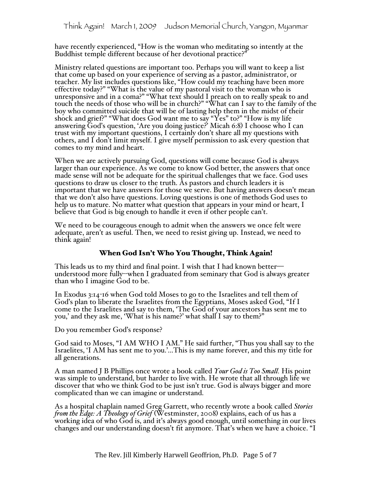have recently experienced, "How is the woman who meditating so intently at the Buddhist temple different because of her devotional practice?"

Ministry related questions are important too. Perhaps you will want to keep a list that come up based on your experience of serving as a pastor, administrator, or teacher. My list includes questions like, "How could my teaching have been more effective today?" "What is the value of my pastoral visit to the woman who is unresponsive and in a coma?" "What text should I preach on to really speak to and touch the needs of those who will be in church?" "What can I say to the family of the boy who committed suicide that will be of lasting help them in the midst of their shock and grief?" "What does God want me to say "Yes" to?" "How is my life answering God's question, 'Are you doing justice?' Micah 6:8) I choose who I can trust with my important questions, I certainly don't share all my questions with others, and I don't limit myself. I give myself permission to ask every question that comes to my mind and heart.

When we are actively pursuing God, questions will come because God is always larger than our experience. As we come to know God better, the answers that once made sense will not be adequate for the spiritual challenges that we face. God uses questions to draw us closer to the truth. As pastors and church leaders it is important that we have answers for those we serve. But having answers doesn't mean that we don't also have questions. Loving questions is one of methods God uses to help us to mature. No matter what question that appears in your mind or heart, I believe that God is big enough to handle it even if other people can't.

We need to be courageous enough to admit when the answers we once felt were adequate, aren't as useful. Then, we need to resist giving up. Instead, we need to think again!

## When God Isn't Who You Thought, Think Again!

This leads us to my third and final point. I wish that I had known better— understood more fully--when I graduated from seminary that God is always greater than who I imagine God to be.

In Exodus 3:14-16 when God told Moses to go to the Israelites and tell them of God's plan to liberate the Israelites from the Egyptians, Moses asked God, "If I come to the Israelites and say to them, 'The God of your ancestors has sent me to you,' and they ask me, 'What is his name?' what shall I say to them?"

Do you remember God's response?

God said to Moses, "I AM WHO I AM." He said further, "Thus you shall say to the Israelites, 'I AM has sent me to you.'...This is my name forever, and this my title for all generations.

A man named J B Phillips once wrote a book called *Your God is Too Small.* His point was simple to understand, but harder to live with. He wrote that all through life we discover that who we think God to be just isn't true. God is always bigger and more complicated than we can imagine or understand.

As a hospital chaplain named Greg Garrett, who recently wrote a book called *Stories from the Edge: A Theology of Grief* (Westminster, 2008) explains, each of us has a working idea of who God is, and it's always good enough, until something in our lives changes and our understanding doesn't fit anymore. That's when we have a choice. "I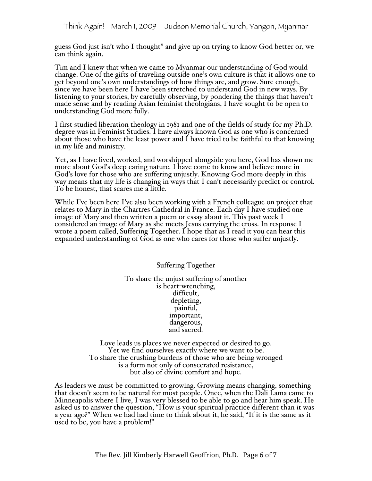guess God just isn't who I thought" and give up on trying to know God better or, we can think again.

Tim and I knew that when we came to Myanmar our understanding of God would change. One of the gifts of traveling outside one's own culture is that it allows one to get beyond one's own understandings of how things are, and grow. Sure enough, since we have been here I have been stretched to understand God in new ways. By listening to your stories, by carefully observing, by pondering the things that haven't made sense and by reading Asian feminist theologians, I have sought to be open to understanding God more fully.

I first studied liberation theology in 1981 and one of the fields of study for my Ph.D. degree was in Feminist Studies. I have always known God as one who is concerned about those who have the least power and I have tried to be faithful to that knowing in my life and ministry.

Yet, as I have lived, worked, and worshipped alongside you here, God has shown me more about God's deep caring nature. I have come to know and believe more in God's love for those who are suffering unjustly. Knowing God more deeply in this way means that my life is changing in ways that I can't necessarily predict or control. To be honest, that scares me a little.

While I've been here I've also been working with a French colleague on project that relates to Mary in the Chartres Cathedral in France. Each day I have studied one image of Mary and then written a poem or essay about it. This past week I considered an image of Mary as she meets Jesus carrying the cross. In response I wrote a poem called, Suffering Together. I hope that as I read it you can hear this expanded understanding of God as one who cares for those who suffer unjustly.

> Suffering Together To share the unjust suffering of another is heart-wrenching, difficult, depleting, painful, important, dangerous, and sacred.

Love leads us places we never expected or desired to go. Yet we find ourselves exactly where we want to be. To share the crushing burdens of those who are being wronged is a form not only of consecrated resistance, but also of divine comfort and hope.

As leaders we must be committed to growing. Growing means changing, something that doesn't seem to be natural for most people. Once, when the Dali Lama came to Minneapolis where I live, I was very blessed to be able to go and hear him speak. He asked us to answer the question, "How is your spiritual practice different than it was a year ago?" When we had had time to think about it, he said, "If it is the same as it used to be, you have a problem!"